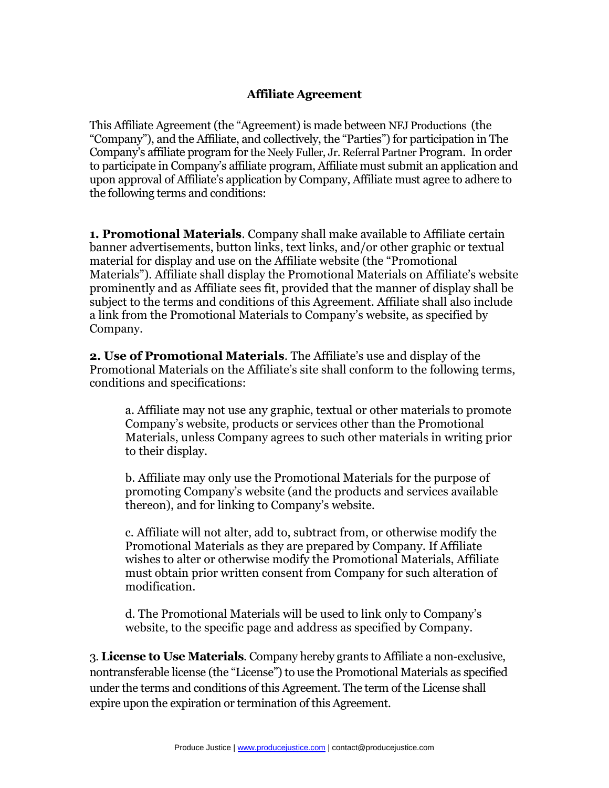# **Affiliate Agreement**

This Affiliate Agreement (the "Agreement) is made between NFJ Productions (the "Company"), and the Affiliate, and collectively, the "Parties") for participation in The Company's affiliate program for the Neely Fuller, Jr. Referral Partner Program. In order to participate in Company's affiliate program, Affiliate must submit an application and upon approval of Affiliate's application by Company, Affiliate must agree to adhere to the following terms and conditions:

**1. Promotional Materials**. Company shall make available to Affiliate certain banner advertisements, button links, text links, and/or other graphic or textual material for display and use on the Affiliate website (the "Promotional Materials"). Affiliate shall display the Promotional Materials on Affiliate's website prominently and as Affiliate sees fit, provided that the manner of display shall be subject to the terms and conditions of this Agreement. Affiliate shall also include a link from the Promotional Materials to Company's website, as specified by Company.

**2. Use of Promotional Materials**. The Affiliate's use and display of the Promotional Materials on the Affiliate's site shall conform to the following terms, conditions and specifications:

a. Affiliate may not use any graphic, textual or other materials to promote Company's website, products or services other than the Promotional Materials, unless Company agrees to such other materials in writing prior to their display.

b. Affiliate may only use the Promotional Materials for the purpose of promoting Company's website (and the products and services available thereon), and for linking to Company's website.

c. Affiliate will not alter, add to, subtract from, or otherwise modify the Promotional Materials as they are prepared by Company. If Affiliate wishes to alter or otherwise modify the Promotional Materials, Affiliate must obtain prior written consent from Company for such alteration of modification.

d. The Promotional Materials will be used to link only to Company's website, to the specific page and address as specified by Company.

3. **License to Use Materials**. Company hereby grants to Affiliate a non-exclusive, nontransferable license (the "License") to use the Promotional Materials as specified under the terms and conditions of this Agreement. The term of the License shall expire upon the expiration or termination of this Agreement.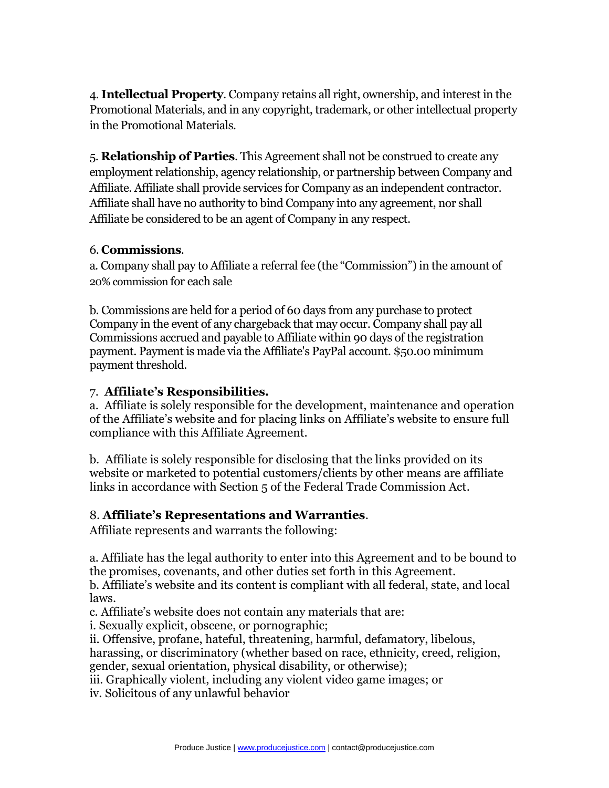4. **Intellectual Property**. Company retains all right, ownership, and interest in the Promotional Materials, and in any copyright, trademark, or other intellectual property in the Promotional Materials.

5. **Relationship of Parties**. This Agreement shall not be construed to create any employment relationship, agency relationship, or partnership between Company and Affiliate. Affiliate shall provide services for Company as an independent contractor. Affiliate shall have no authority to bind Company into any agreement, nor shall Affiliate be considered to be an agent of Company in any respect.

# 6. **Commissions**.

a. Company shall pay to Affiliate a referral fee (the "Commission") in the amount of 20% commission for each sale

b. Commissions are held for a period of 60 days from any purchase to protect Company in the event of any chargeback that may occur. Company shall pay all Commissions accrued and payable to Affiliate within 90 days of the registration payment. Payment is made via the Affiliate's PayPal account. \$50.00 minimum payment threshold.

# 7. **Affiliate's Responsibilities.**

a. Affiliate is solely responsible for the development, maintenance and operation of the Affiliate's website and for placing links on Affiliate's website to ensure full compliance with this Affiliate Agreement.

b. Affiliate is solely responsible for disclosing that the links provided on its website or marketed to potential customers/clients by other means are affiliate links in accordance with Section 5 of the Federal Trade Commission Act.

# 8. **Affiliate's Representations and Warranties**.

Affiliate represents and warrants the following:

a. Affiliate has the legal authority to enter into this Agreement and to be bound to the promises, covenants, and other duties set forth in this Agreement. b. Affiliate's website and its content is compliant with all federal, state, and local laws.

c. Affiliate's website does not contain any materials that are:

i. Sexually explicit, obscene, or pornographic;

ii. Offensive, profane, hateful, threatening, harmful, defamatory, libelous, harassing, or discriminatory (whether based on race, ethnicity, creed, religion, gender, sexual orientation, physical disability, or otherwise);

iii. Graphically violent, including any violent video game images; or

iv. Solicitous of any unlawful behavior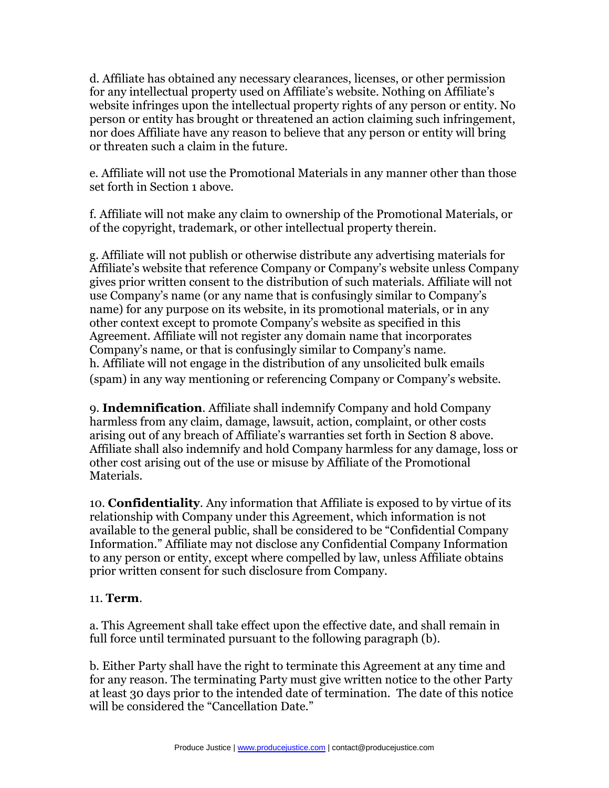d. Affiliate has obtained any necessary clearances, licenses, or other permission for any intellectual property used on Affiliate's website. Nothing on Affiliate's website infringes upon the intellectual property rights of any person or entity. No person or entity has brought or threatened an action claiming such infringement, nor does Affiliate have any reason to believe that any person or entity will bring or threaten such a claim in the future.

e. Affiliate will not use the Promotional Materials in any manner other than those set forth in Section 1 above.

f. Affiliate will not make any claim to ownership of the Promotional Materials, or of the copyright, trademark, or other intellectual property therein.

g. Affiliate will not publish or otherwise distribute any advertising materials for Affiliate's website that reference Company or Company's website unless Company gives prior written consent to the distribution of such materials. Affiliate will not use Company's name (or any name that is confusingly similar to Company's name) for any purpose on its website, in its promotional materials, or in any other context except to promote Company's website as specified in this Agreement. Affiliate will not register any domain name that incorporates Company's name, or that is confusingly similar to Company's name. h. Affiliate will not engage in the distribution of any unsolicited bulk emails (spam) in any way mentioning or referencing Company or Company's website.

9. **Indemnification**. Affiliate shall indemnify Company and hold Company harmless from any claim, damage, lawsuit, action, complaint, or other costs arising out of any breach of Affiliate's warranties set forth in Section 8 above. Affiliate shall also indemnify and hold Company harmless for any damage, loss or other cost arising out of the use or misuse by Affiliate of the Promotional Materials.

10. **Confidentiality**. Any information that Affiliate is exposed to by virtue of its relationship with Company under this Agreement, which information is not available to the general public, shall be considered to be "Confidential Company Information." Affiliate may not disclose any Confidential Company Information to any person or entity, except where compelled by law, unless Affiliate obtains prior written consent for such disclosure from Company.

## 11. **Term**.

a. This Agreement shall take effect upon the effective date, and shall remain in full force until terminated pursuant to the following paragraph (b).

b. Either Party shall have the right to terminate this Agreement at any time and for any reason. The terminating Party must give written notice to the other Party at least 30 days prior to the intended date of termination. The date of this notice will be considered the "Cancellation Date."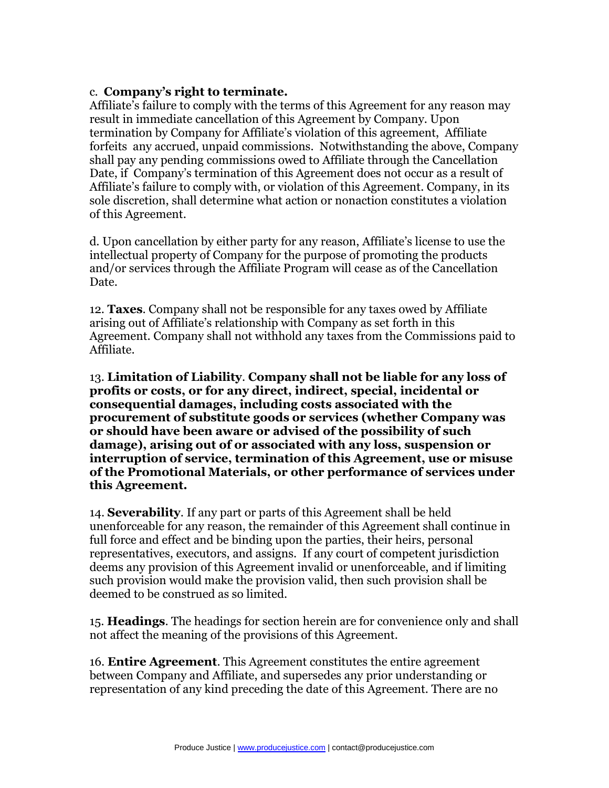## c. **Company's right to terminate.**

Affiliate's failure to comply with the terms of this Agreement for any reason may result in immediate cancellation of this Agreement by Company. Upon termination by Company for Affiliate's violation of this agreement, Affiliate forfeits any accrued, unpaid commissions. Notwithstanding the above, Company shall pay any pending commissions owed to Affiliate through the Cancellation Date, if Company's termination of this Agreement does not occur as a result of Affiliate's failure to comply with, or violation of this Agreement. Company, in its sole discretion, shall determine what action or nonaction constitutes a violation of this Agreement.

d. Upon cancellation by either party for any reason, Affiliate's license to use the intellectual property of Company for the purpose of promoting the products and/or services through the Affiliate Program will cease as of the Cancellation Date.

12. **Taxes**. Company shall not be responsible for any taxes owed by Affiliate arising out of Affiliate's relationship with Company as set forth in this Agreement. Company shall not withhold any taxes from the Commissions paid to Affiliate.

13. **Limitation of Liability**. **Company shall not be liable for any loss of profits or costs, or for any direct, indirect, special, incidental or consequential damages, including costs associated with the procurement of substitute goods or services (whether Company was or should have been aware or advised of the possibility of such damage), arising out of or associated with any loss, suspension or interruption of service, termination of this Agreement, use or misuse of the Promotional Materials, or other performance of services under this Agreement.**

14. **Severability**. If any part or parts of this Agreement shall be held unenforceable for any reason, the remainder of this Agreement shall continue in full force and effect and be binding upon the parties, their heirs, personal representatives, executors, and assigns. If any court of competent jurisdiction deems any provision of this Agreement invalid or unenforceable, and if limiting such provision would make the provision valid, then such provision shall be deemed to be construed as so limited.

15. **Headings**. The headings for section herein are for convenience only and shall not affect the meaning of the provisions of this Agreement.

16. **Entire Agreement**. This Agreement constitutes the entire agreement between Company and Affiliate, and supersedes any prior understanding or representation of any kind preceding the date of this Agreement. There are no